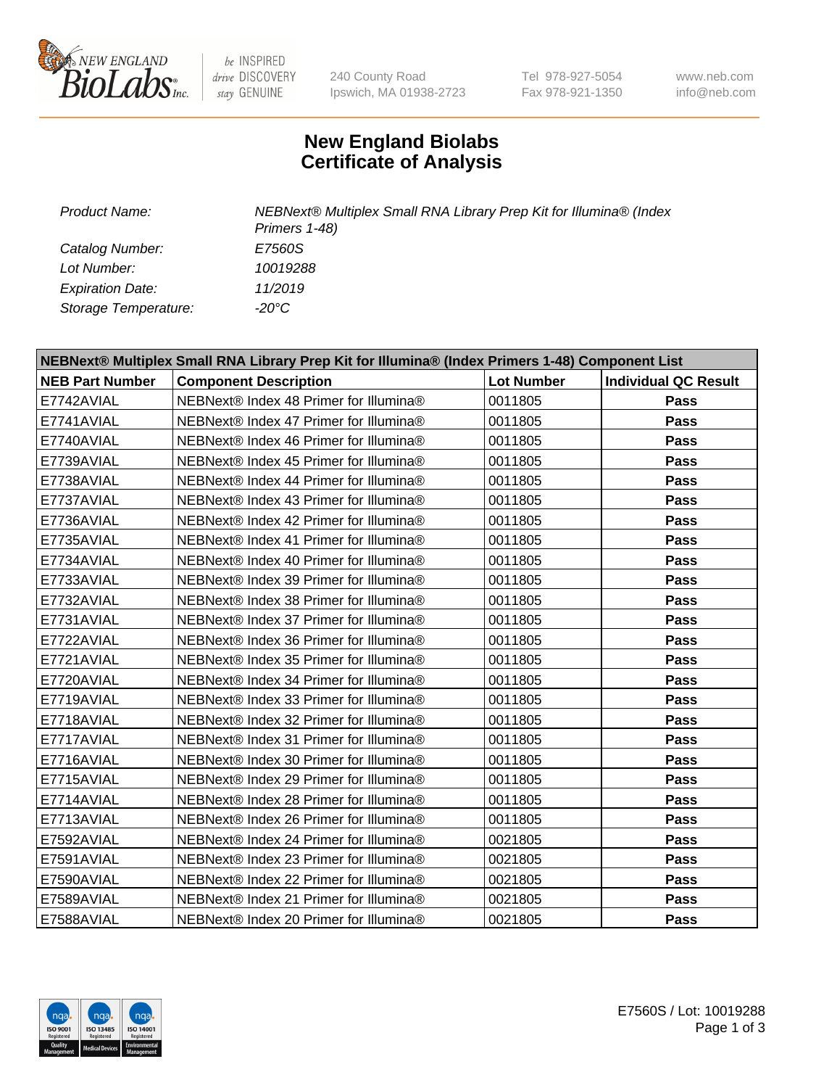

be INSPIRED drive DISCOVERY stay GENUINE

240 County Road Ipswich, MA 01938-2723 Tel 978-927-5054 Fax 978-921-1350

www.neb.com info@neb.com

## **New England Biolabs Certificate of Analysis**

*Catalog Number: E7560S Lot Number: 10019288 Expiration Date: 11/2019 Storage Temperature: -20°C*

*Product Name: NEBNext® Multiplex Small RNA Library Prep Kit for Illumina® (Index Primers 1-48)*

| NEBNext® Multiplex Small RNA Library Prep Kit for Illumina® (Index Primers 1-48) Component List |                                        |                   |                             |  |  |
|-------------------------------------------------------------------------------------------------|----------------------------------------|-------------------|-----------------------------|--|--|
| <b>NEB Part Number</b>                                                                          | <b>Component Description</b>           | <b>Lot Number</b> | <b>Individual QC Result</b> |  |  |
| E7742AVIAL                                                                                      | NEBNext® Index 48 Primer for Illumina® | 0011805           | Pass                        |  |  |
| E7741AVIAL                                                                                      | NEBNext® Index 47 Primer for Illumina® | 0011805           | Pass                        |  |  |
| E7740AVIAL                                                                                      | NEBNext® Index 46 Primer for Illumina® | 0011805           | <b>Pass</b>                 |  |  |
| E7739AVIAL                                                                                      | NEBNext® Index 45 Primer for Illumina® | 0011805           | Pass                        |  |  |
| E7738AVIAL                                                                                      | NEBNext® Index 44 Primer for Illumina® | 0011805           | Pass                        |  |  |
| E7737AVIAL                                                                                      | NEBNext® Index 43 Primer for Illumina® | 0011805           | Pass                        |  |  |
| E7736AVIAL                                                                                      | NEBNext® Index 42 Primer for Illumina® | 0011805           | Pass                        |  |  |
| E7735AVIAL                                                                                      | NEBNext® Index 41 Primer for Illumina® | 0011805           | Pass                        |  |  |
| E7734AVIAL                                                                                      | NEBNext® Index 40 Primer for Illumina® | 0011805           | Pass                        |  |  |
| E7733AVIAL                                                                                      | NEBNext® Index 39 Primer for Illumina® | 0011805           | Pass                        |  |  |
| E7732AVIAL                                                                                      | NEBNext® Index 38 Primer for Illumina® | 0011805           | Pass                        |  |  |
| E7731AVIAL                                                                                      | NEBNext® Index 37 Primer for Illumina® | 0011805           | <b>Pass</b>                 |  |  |
| E7722AVIAL                                                                                      | NEBNext® Index 36 Primer for Illumina® | 0011805           | <b>Pass</b>                 |  |  |
| E7721AVIAL                                                                                      | NEBNext® Index 35 Primer for Illumina® | 0011805           | Pass                        |  |  |
| E7720AVIAL                                                                                      | NEBNext® Index 34 Primer for Illumina® | 0011805           | Pass                        |  |  |
| E7719AVIAL                                                                                      | NEBNext® Index 33 Primer for Illumina® | 0011805           | <b>Pass</b>                 |  |  |
| E7718AVIAL                                                                                      | NEBNext® Index 32 Primer for Illumina® | 0011805           | <b>Pass</b>                 |  |  |
| E7717AVIAL                                                                                      | NEBNext® Index 31 Primer for Illumina® | 0011805           | Pass                        |  |  |
| E7716AVIAL                                                                                      | NEBNext® Index 30 Primer for Illumina® | 0011805           | Pass                        |  |  |
| E7715AVIAL                                                                                      | NEBNext® Index 29 Primer for Illumina® | 0011805           | <b>Pass</b>                 |  |  |
| E7714AVIAL                                                                                      | NEBNext® Index 28 Primer for Illumina® | 0011805           | Pass                        |  |  |
| E7713AVIAL                                                                                      | NEBNext® Index 26 Primer for Illumina® | 0011805           | <b>Pass</b>                 |  |  |
| E7592AVIAL                                                                                      | NEBNext® Index 24 Primer for Illumina® | 0021805           | Pass                        |  |  |
| E7591AVIAL                                                                                      | NEBNext® Index 23 Primer for Illumina® | 0021805           | Pass                        |  |  |
| E7590AVIAL                                                                                      | NEBNext® Index 22 Primer for Illumina® | 0021805           | Pass                        |  |  |
| E7589AVIAL                                                                                      | NEBNext® Index 21 Primer for Illumina® | 0021805           | Pass                        |  |  |
| E7588AVIAL                                                                                      | NEBNext® Index 20 Primer for Illumina® | 0021805           | <b>Pass</b>                 |  |  |

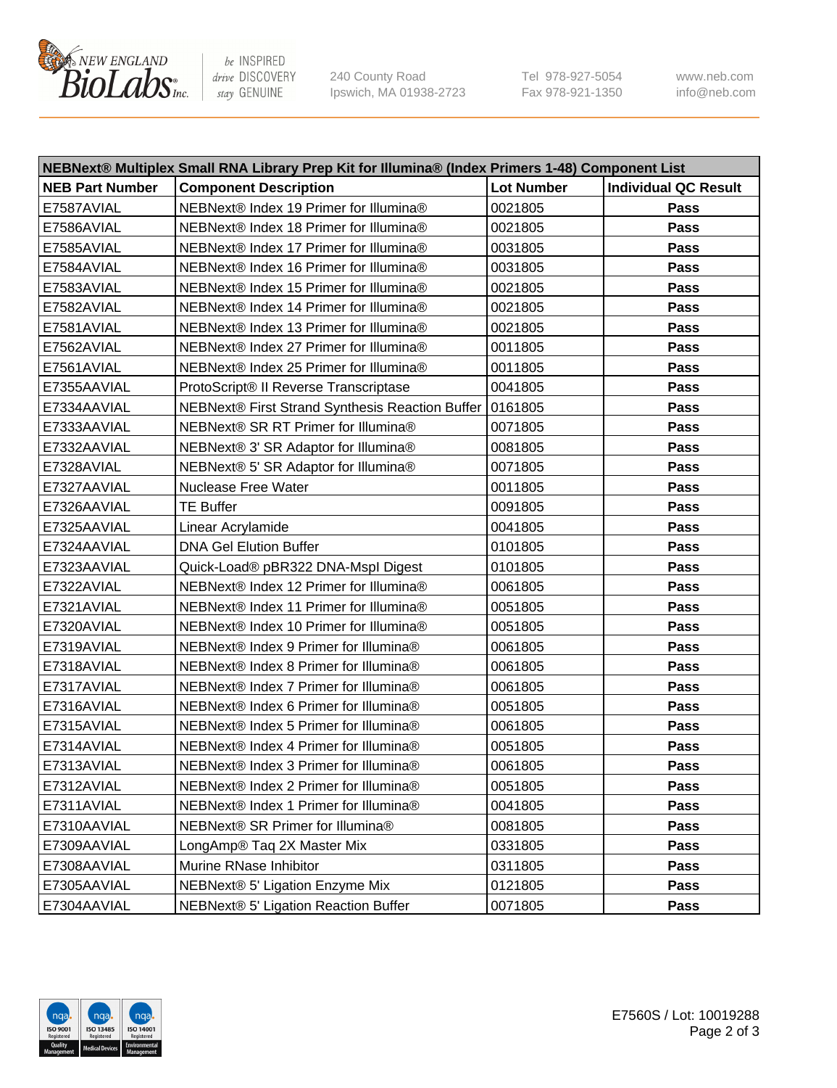

be INSPIRED drive DISCOVERY stay GENUINE

240 County Road Ipswich, MA 01938-2723 Tel 978-927-5054 Fax 978-921-1350 www.neb.com info@neb.com

| NEBNext® Multiplex Small RNA Library Prep Kit for Illumina® (Index Primers 1-48) Component List |                                                 |                   |                             |  |  |
|-------------------------------------------------------------------------------------------------|-------------------------------------------------|-------------------|-----------------------------|--|--|
| <b>NEB Part Number</b>                                                                          | <b>Component Description</b>                    | <b>Lot Number</b> | <b>Individual QC Result</b> |  |  |
| E7587AVIAL                                                                                      | NEBNext® Index 19 Primer for Illumina®          | 0021805           | Pass                        |  |  |
| E7586AVIAL                                                                                      | NEBNext® Index 18 Primer for Illumina®          | 0021805           | Pass                        |  |  |
| E7585AVIAL                                                                                      | NEBNext® Index 17 Primer for Illumina®          | 0031805           | Pass                        |  |  |
| E7584AVIAL                                                                                      | NEBNext® Index 16 Primer for Illumina®          | 0031805           | Pass                        |  |  |
| E7583AVIAL                                                                                      | NEBNext® Index 15 Primer for Illumina®          | 0021805           | Pass                        |  |  |
| E7582AVIAL                                                                                      | NEBNext® Index 14 Primer for Illumina®          | 0021805           | Pass                        |  |  |
| E7581AVIAL                                                                                      | NEBNext® Index 13 Primer for Illumina®          | 0021805           | Pass                        |  |  |
| E7562AVIAL                                                                                      | NEBNext® Index 27 Primer for Illumina®          | 0011805           | Pass                        |  |  |
| E7561AVIAL                                                                                      | NEBNext® Index 25 Primer for Illumina®          | 0011805           | Pass                        |  |  |
| E7355AAVIAL                                                                                     | ProtoScript® II Reverse Transcriptase           | 0041805           | Pass                        |  |  |
| E7334AAVIAL                                                                                     | NEBNext® First Strand Synthesis Reaction Buffer | 0161805           | Pass                        |  |  |
| E7333AAVIAL                                                                                     | NEBNext® SR RT Primer for Illumina®             | 0071805           | Pass                        |  |  |
| E7332AAVIAL                                                                                     | NEBNext® 3' SR Adaptor for Illumina®            | 0081805           | Pass                        |  |  |
| E7328AVIAL                                                                                      | NEBNext® 5' SR Adaptor for Illumina®            | 0071805           | Pass                        |  |  |
| E7327AAVIAL                                                                                     | <b>Nuclease Free Water</b>                      | 0011805           | Pass                        |  |  |
| E7326AAVIAL                                                                                     | <b>TE Buffer</b>                                | 0091805           | Pass                        |  |  |
| E7325AAVIAL                                                                                     | Linear Acrylamide                               | 0041805           | Pass                        |  |  |
| E7324AAVIAL                                                                                     | <b>DNA Gel Elution Buffer</b>                   | 0101805           | Pass                        |  |  |
| E7323AAVIAL                                                                                     | Quick-Load® pBR322 DNA-Mspl Digest              | 0101805           | Pass                        |  |  |
| E7322AVIAL                                                                                      | NEBNext® Index 12 Primer for Illumina®          | 0061805           | Pass                        |  |  |
| E7321AVIAL                                                                                      | NEBNext® Index 11 Primer for Illumina®          | 0051805           | Pass                        |  |  |
| E7320AVIAL                                                                                      | NEBNext® Index 10 Primer for Illumina®          | 0051805           | Pass                        |  |  |
| E7319AVIAL                                                                                      | NEBNext® Index 9 Primer for Illumina®           | 0061805           | Pass                        |  |  |
| E7318AVIAL                                                                                      | NEBNext® Index 8 Primer for Illumina®           | 0061805           | Pass                        |  |  |
| E7317AVIAL                                                                                      | NEBNext® Index 7 Primer for Illumina®           | 0061805           | Pass                        |  |  |
| E7316AVIAL                                                                                      | NEBNext® Index 6 Primer for Illumina®           | 0051805           | <b>Pass</b>                 |  |  |
| E7315AVIAL                                                                                      | NEBNext® Index 5 Primer for Illumina®           | 0061805           | Pass                        |  |  |
| E7314AVIAL                                                                                      | NEBNext® Index 4 Primer for Illumina®           | 0051805           | Pass                        |  |  |
| E7313AVIAL                                                                                      | NEBNext® Index 3 Primer for Illumina®           | 0061805           | Pass                        |  |  |
| E7312AVIAL                                                                                      | NEBNext® Index 2 Primer for Illumina®           | 0051805           | <b>Pass</b>                 |  |  |
| E7311AVIAL                                                                                      | NEBNext® Index 1 Primer for Illumina®           | 0041805           | Pass                        |  |  |
| E7310AAVIAL                                                                                     | NEBNext® SR Primer for Illumina®                | 0081805           | Pass                        |  |  |
| E7309AAVIAL                                                                                     | LongAmp® Taq 2X Master Mix                      | 0331805           | Pass                        |  |  |
| E7308AAVIAL                                                                                     | Murine RNase Inhibitor                          | 0311805           | Pass                        |  |  |
| E7305AAVIAL                                                                                     | NEBNext® 5' Ligation Enzyme Mix                 | 0121805           | Pass                        |  |  |
| E7304AAVIAL                                                                                     | NEBNext® 5' Ligation Reaction Buffer            | 0071805           | Pass                        |  |  |